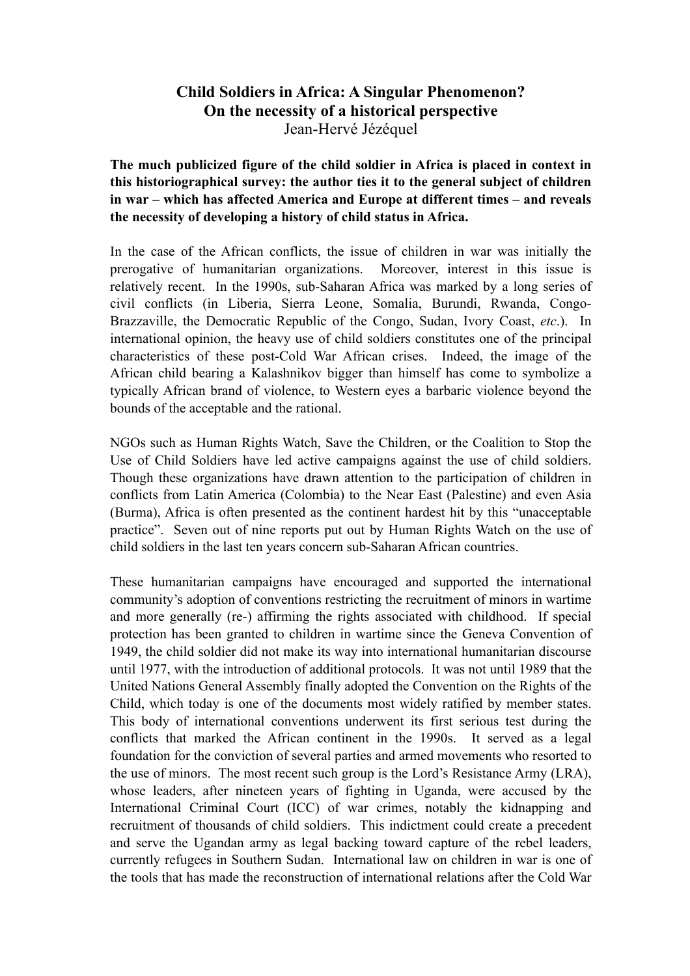# Child Soldiers in Africa: A Singular Phenomenon? On the necessity of a historical perspective Jean-Hervé Jézéquel

The much publicized figure of the child soldier in Africa is placed in context in this historiographical survey: the author ties it to the general subject of children in war – which has affected America and Europe at different times – and reveals the necessity of developing a history of child status in Africa.

In the case of the African conflicts, the issue of children in war was initially the prerogative of humanitarian organizations. Moreover, interest in this issue is relatively recent. In the 1990s, sub-Saharan Africa was marked by a long series of civil conflicts (in Liberia, Sierra Leone, Somalia, Burundi, Rwanda, Congo-Brazzaville, the Democratic Republic of the Congo, Sudan, Ivory Coast, *etc*.). In international opinion, the heavy use of child soldiers constitutes one of the principal characteristics of these post-Cold War African crises. Indeed, the image of the African child bearing a Kalashnikov bigger than himself has come to symbolize a typically African brand of violence, to Western eyes a barbaric violence beyond the bounds of the acceptable and the rational.

NGOs such as Human Rights Watch, Save the Children, or the Coalition to Stop the Use of Child Soldiers have led active campaigns against the use of child soldiers. Though these organizations have drawn attention to the participation of children in conflicts from Latin America (Colombia) to the Near East (Palestine) and even Asia (Burma), Africa is often presented as the continent hardest hit by this "unacceptable practice". Seven out of nine reports put out by Human Rights Watch on the use of child soldiers in the last ten years concern sub-Saharan African countries.

These humanitarian campaigns have encouraged and supported the international community's adoption of conventions restricting the recruitment of minors in wartime and more generally (re-) affirming the rights associated with childhood. If special protection has been granted to children in wartime since the Geneva Convention of 1949, the child soldier did not make its way into international humanitarian discourse until 1977, with the introduction of additional protocols. It was not until 1989 that the United Nations General Assembly finally adopted the Convention on the Rights of the Child, which today is one of the documents most widely ratified by member states. This body of international conventions underwent its first serious test during the conflicts that marked the African continent in the 1990s. It served as a legal foundation for the conviction of several parties and armed movements who resorted to the use of minors. The most recent such group is the Lord's Resistance Army (LRA), whose leaders, after nineteen years of fighting in Uganda, were accused by the International Criminal Court (ICC) of war crimes, notably the kidnapping and recruitment of thousands of child soldiers. This indictment could create a precedent and serve the Ugandan army as legal backing toward capture of the rebel leaders, currently refugees in Southern Sudan. International law on children in war is one of the tools that has made the reconstruction of international relations after the Cold War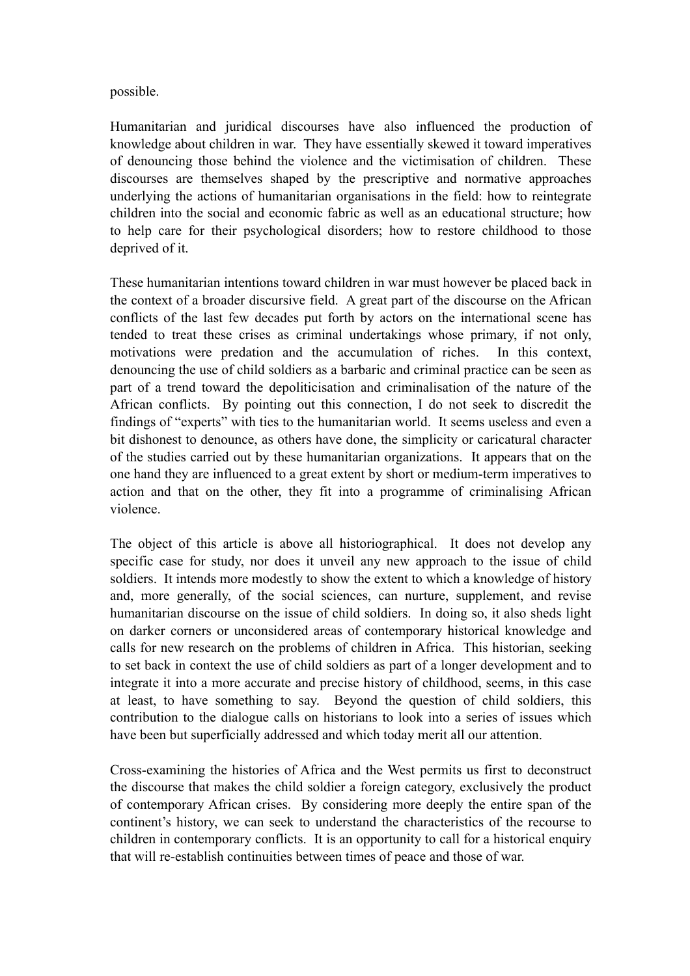possible.

Humanitarian and juridical discourses have also influenced the production of knowledge about children in war. They have essentially skewed it toward imperatives of denouncing those behind the violence and the victimisation of children. These discourses are themselves shaped by the prescriptive and normative approaches underlying the actions of humanitarian organisations in the field: how to reintegrate children into the social and economic fabric as well as an educational structure; how to help care for their psychological disorders; how to restore childhood to those deprived of it.

These humanitarian intentions toward children in war must however be placed back in the context of a broader discursive field. A great part of the discourse on the African conflicts of the last few decades put forth by actors on the international scene has tended to treat these crises as criminal undertakings whose primary, if not only, motivations were predation and the accumulation of riches. In this context, denouncing the use of child soldiers as a barbaric and criminal practice can be seen as part of a trend toward the depoliticisation and criminalisation of the nature of the African conflicts. By pointing out this connection, I do not seek to discredit the findings of "experts" with ties to the humanitarian world. It seems useless and even a bit dishonest to denounce, as others have done, the simplicity or caricatural character of the studies carried out by these humanitarian organizations. It appears that on the one hand they are influenced to a great extent by short or medium-term imperatives to action and that on the other, they fit into a programme of criminalising African violence.

The object of this article is above all historiographical. It does not develop any specific case for study, nor does it unveil any new approach to the issue of child soldiers. It intends more modestly to show the extent to which a knowledge of history and, more generally, of the social sciences, can nurture, supplement, and revise humanitarian discourse on the issue of child soldiers. In doing so, it also sheds light on darker corners or unconsidered areas of contemporary historical knowledge and calls for new research on the problems of children in Africa. This historian, seeking to set back in context the use of child soldiers as part of a longer development and to integrate it into a more accurate and precise history of childhood, seems, in this case at least, to have something to say. Beyond the question of child soldiers, this contribution to the dialogue calls on historians to look into a series of issues which have been but superficially addressed and which today merit all our attention.

Cross-examining the histories of Africa and the West permits us first to deconstruct the discourse that makes the child soldier a foreign category, exclusively the product of contemporary African crises. By considering more deeply the entire span of the continent's history, we can seek to understand the characteristics of the recourse to children in contemporary conflicts. It is an opportunity to call for a historical enquiry that will re-establish continuities between times of peace and those of war.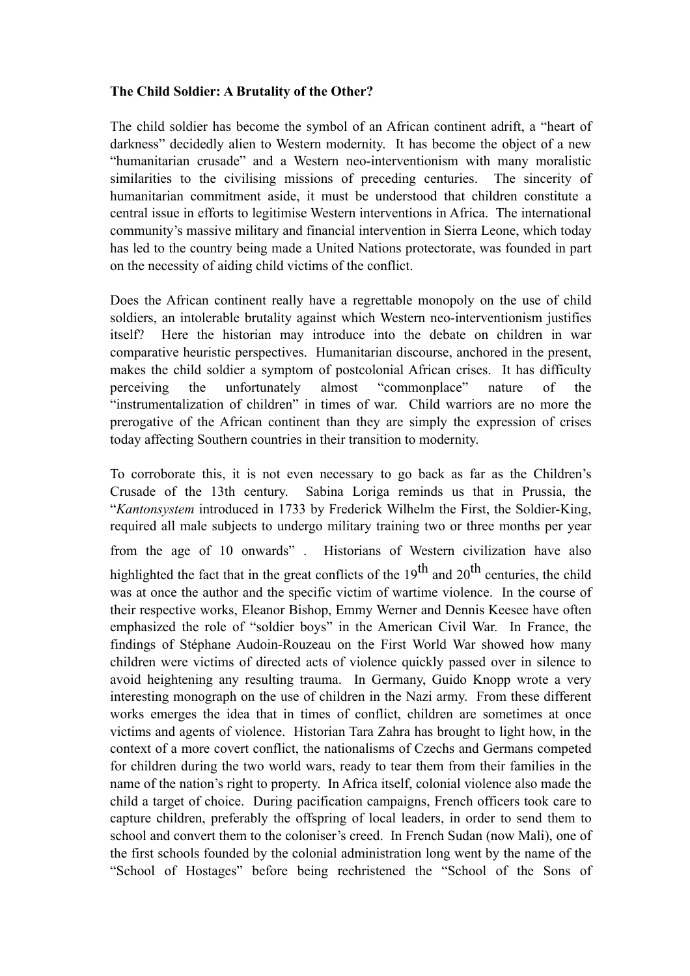### The Child Soldier: A Brutality of the Other?

The child soldier has become the symbol of an African continent adrift, a "heart of darkness" decidedly alien to Western modernity. It has become the object of a new "humanitarian crusade" and a Western neo-interventionism with many moralistic similarities to the civilising missions of preceding centuries. The sincerity of humanitarian commitment aside, it must be understood that children constitute a central issue in efforts to legitimise Western interventions in Africa. The international community's massive military and financial intervention in Sierra Leone, which today has led to the country being made a United Nations protectorate, was founded in part on the necessity of aiding child victims of the conflict.

Does the African continent really have a regrettable monopoly on the use of child soldiers, an intolerable brutality against which Western neo-interventionism justifies itself? Here the historian may introduce into the debate on children in war comparative heuristic perspectives. Humanitarian discourse, anchored in the present, makes the child soldier a symptom of postcolonial African crises. It has difficulty perceiving the unfortunately almost "commonplace" nature of the "instrumentalization of children" in times of war. Child warriors are no more the prerogative of the African continent than they are simply the expression of crises today affecting Southern countries in their transition to modernity.

To corroborate this, it is not even necessary to go back as far as the Children's Crusade of the 13th century. Sabina Loriga reminds us that in Prussia, the "*Kantonsystem* introduced in 1733 by Frederick Wilhelm the First, the Soldier-King, required all male subjects to undergo military training two or three months per year

from the age of 10 onwards" . Historians of Western civilization have also highlighted the fact that in the great conflicts of the  $19<sup>th</sup>$  and  $20<sup>th</sup>$  centuries, the child was at once the author and the specific victim of wartime violence. In the course of their respective works, Eleanor Bishop, Emmy Werner and Dennis Keesee have often emphasized the role of "soldier boys" in the American Civil War. In France, the findings of Stéphane Audoin-Rouzeau on the First World War showed how many children were victims of directed acts of violence quickly passed over in silence to avoid heightening any resulting trauma. In Germany, Guido Knopp wrote a very interesting monograph on the use of children in the Nazi army. From these different works emerges the idea that in times of conflict, children are sometimes at once victims and agents of violence. Historian Tara Zahra has brought to light how, in the context of a more covert conflict, the nationalisms of Czechs and Germans competed for children during the two world wars, ready to tear them from their families in the name of the nation's right to property. In Africa itself, colonial violence also made the child a target of choice. During pacification campaigns, French officers took care to capture children, preferably the offspring of local leaders, in order to send them to school and convert them to the coloniser's creed. In French Sudan (now Mali), one of the first schools founded by the colonial administration long went by the name of the "School of Hostages" before being rechristened the "School of the Sons of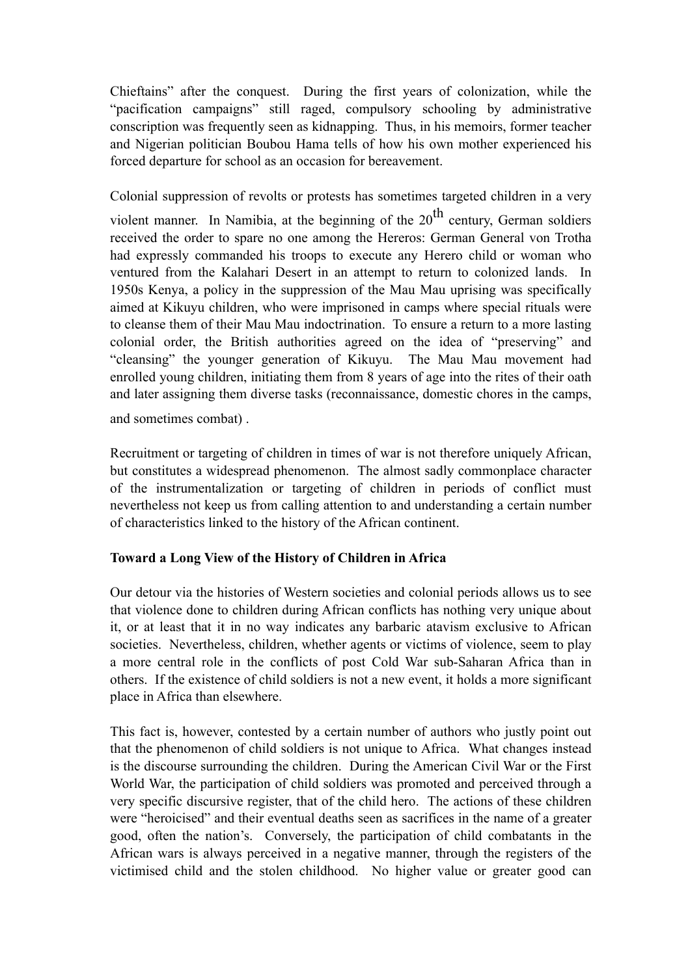Chieftains" after the conquest. During the first years of colonization, while the "pacification campaigns" still raged, compulsory schooling by administrative conscription was frequently seen as kidnapping. Thus, in his memoirs, former teacher and Nigerian politician Boubou Hama tells of how his own mother experienced his forced departure for school as an occasion for bereavement.

Colonial suppression of revolts or protests has sometimes targeted children in a very

violent manner. In Namibia, at the beginning of the  $20<sup>th</sup>$  century, German soldiers received the order to spare no one among the Hereros: German General von Trotha had expressly commanded his troops to execute any Herero child or woman who ventured from the Kalahari Desert in an attempt to return to colonized lands. In 1950s Kenya, a policy in the suppression of the Mau Mau uprising was specifically aimed at Kikuyu children, who were imprisoned in camps where special rituals were to cleanse them of their Mau Mau indoctrination. To ensure a return to a more lasting colonial order, the British authorities agreed on the idea of "preserving" and "cleansing" the younger generation of Kikuyu. The Mau Mau movement had enrolled young children, initiating them from 8 years of age into the rites of their oath and later assigning them diverse tasks (reconnaissance, domestic chores in the camps,

and sometimes combat) .

Recruitment or targeting of children in times of war is not therefore uniquely African, but constitutes a widespread phenomenon. The almost sadly commonplace character of the instrumentalization or targeting of children in periods of conflict must nevertheless not keep us from calling attention to and understanding a certain number of characteristics linked to the history of the African continent.

## Toward a Long View of the History of Children in Africa

Our detour via the histories of Western societies and colonial periods allows us to see that violence done to children during African conflicts has nothing very unique about it, or at least that it in no way indicates any barbaric atavism exclusive to African societies. Nevertheless, children, whether agents or victims of violence, seem to play a more central role in the conflicts of post Cold War sub-Saharan Africa than in others. If the existence of child soldiers is not a new event, it holds a more significant place in Africa than elsewhere.

This fact is, however, contested by a certain number of authors who justly point out that the phenomenon of child soldiers is not unique to Africa. What changes instead is the discourse surrounding the children. During the American Civil War or the First World War, the participation of child soldiers was promoted and perceived through a very specific discursive register, that of the child hero. The actions of these children were "heroicised" and their eventual deaths seen as sacrifices in the name of a greater good, often the nation's. Conversely, the participation of child combatants in the African wars is always perceived in a negative manner, through the registers of the victimised child and the stolen childhood. No higher value or greater good can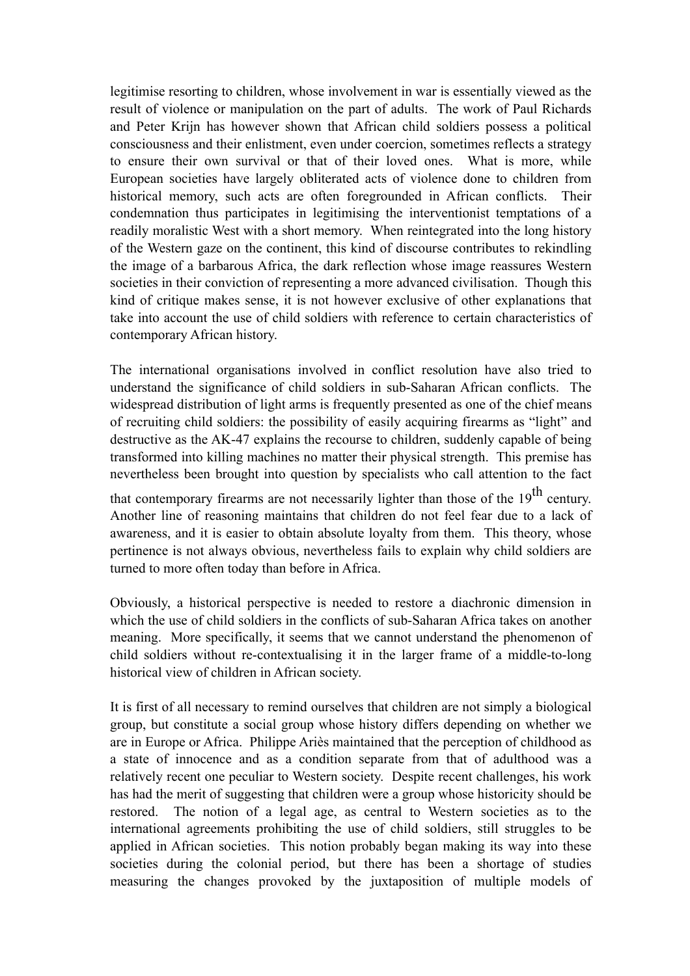legitimise resorting to children, whose involvement in war is essentially viewed as the result of violence or manipulation on the part of adults. The work of Paul Richards and Peter Krijn has however shown that African child soldiers possess a political consciousness and their enlistment, even under coercion, sometimes reflects a strategy to ensure their own survival or that of their loved ones. What is more, while European societies have largely obliterated acts of violence done to children from historical memory, such acts are often foregrounded in African conflicts. Their condemnation thus participates in legitimising the interventionist temptations of a readily moralistic West with a short memory. When reintegrated into the long history of the Western gaze on the continent, this kind of discourse contributes to rekindling the image of a barbarous Africa, the dark reflection whose image reassures Western societies in their conviction of representing a more advanced civilisation. Though this kind of critique makes sense, it is not however exclusive of other explanations that take into account the use of child soldiers with reference to certain characteristics of contemporary African history.

The international organisations involved in conflict resolution have also tried to understand the significance of child soldiers in sub-Saharan African conflicts. The widespread distribution of light arms is frequently presented as one of the chief means of recruiting child soldiers: the possibility of easily acquiring firearms as "light" and destructive as the AK-47 explains the recourse to children, suddenly capable of being transformed into killing machines no matter their physical strength. This premise has nevertheless been brought into question by specialists who call attention to the fact

that contemporary firearms are not necessarily lighter than those of the  $19<sup>th</sup>$  century. Another line of reasoning maintains that children do not feel fear due to a lack of awareness, and it is easier to obtain absolute loyalty from them. This theory, whose pertinence is not always obvious, nevertheless fails to explain why child soldiers are turned to more often today than before in Africa.

Obviously, a historical perspective is needed to restore a diachronic dimension in which the use of child soldiers in the conflicts of sub-Saharan Africa takes on another meaning. More specifically, it seems that we cannot understand the phenomenon of child soldiers without re-contextualising it in the larger frame of a middle-to-long historical view of children in African society.

It is first of all necessary to remind ourselves that children are not simply a biological group, but constitute a social group whose history differs depending on whether we are in Europe or Africa. Philippe Ariès maintained that the perception of childhood as a state of innocence and as a condition separate from that of adulthood was a relatively recent one peculiar to Western society. Despite recent challenges, his work has had the merit of suggesting that children were a group whose historicity should be restored. The notion of a legal age, as central to Western societies as to the international agreements prohibiting the use of child soldiers, still struggles to be applied in African societies. This notion probably began making its way into these societies during the colonial period, but there has been a shortage of studies measuring the changes provoked by the juxtaposition of multiple models of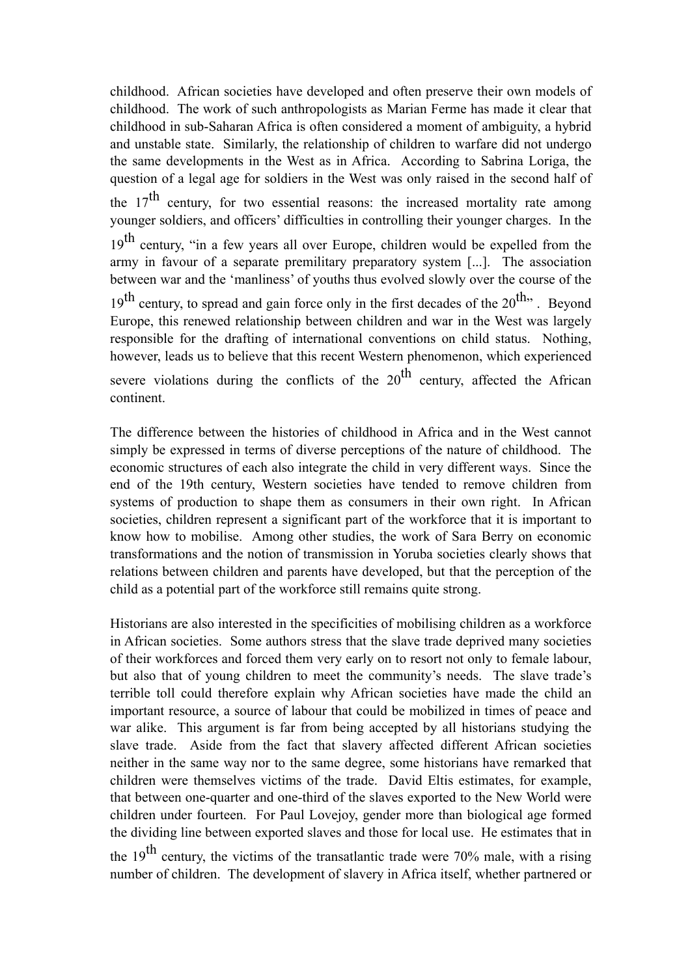childhood. African societies have developed and often preserve their own models of childhood. The work of such anthropologists as Marian Ferme has made it clear that childhood in sub-Saharan Africa is often considered a moment of ambiguity, a hybrid and unstable state. Similarly, the relationship of children to warfare did not undergo the same developments in the West as in Africa. According to Sabrina Loriga, the question of a legal age for soldiers in the West was only raised in the second half of the  $17<sup>th</sup>$  century, for two essential reasons: the increased mortality rate among younger soldiers, and officers' difficulties in controlling their younger charges. In the 19<sup>th</sup> century, "in a few years all over Europe, children would be expelled from the army in favour of a separate premilitary preparatory system [...]. The association between war and the 'manliness' of youths thus evolved slowly over the course of the  $19<sup>th</sup>$  century, to spread and gain force only in the first decades of the  $20<sup>th</sup>$ . Beyond Europe, this renewed relationship between children and war in the West was largely responsible for the drafting of international conventions on child status. Nothing, however, leads us to believe that this recent Western phenomenon, which experienced severe violations during the conflicts of the  $20<sup>th</sup>$  century, affected the African continent.

The difference between the histories of childhood in Africa and in the West cannot simply be expressed in terms of diverse perceptions of the nature of childhood. The economic structures of each also integrate the child in very different ways. Since the end of the 19th century, Western societies have tended to remove children from systems of production to shape them as consumers in their own right. In African societies, children represent a significant part of the workforce that it is important to know how to mobilise. Among other studies, the work of Sara Berry on economic transformations and the notion of transmission in Yoruba societies clearly shows that relations between children and parents have developed, but that the perception of the child as a potential part of the workforce still remains quite strong.

Historians are also interested in the specificities of mobilising children as a workforce in African societies. Some authors stress that the slave trade deprived many societies of their workforces and forced them very early on to resort not only to female labour, but also that of young children to meet the community's needs. The slave trade's terrible toll could therefore explain why African societies have made the child an important resource, a source of labour that could be mobilized in times of peace and war alike. This argument is far from being accepted by all historians studying the slave trade. Aside from the fact that slavery affected different African societies neither in the same way nor to the same degree, some historians have remarked that children were themselves victims of the trade. David Eltis estimates, for example, that between one-quarter and one-third of the slaves exported to the New World were children under fourteen. For Paul Lovejoy, gender more than biological age formed the dividing line between exported slaves and those for local use. He estimates that in

the 19<sup>th</sup> century, the victims of the transatlantic trade were 70% male, with a rising number of children. The development of slavery in Africa itself, whether partnered or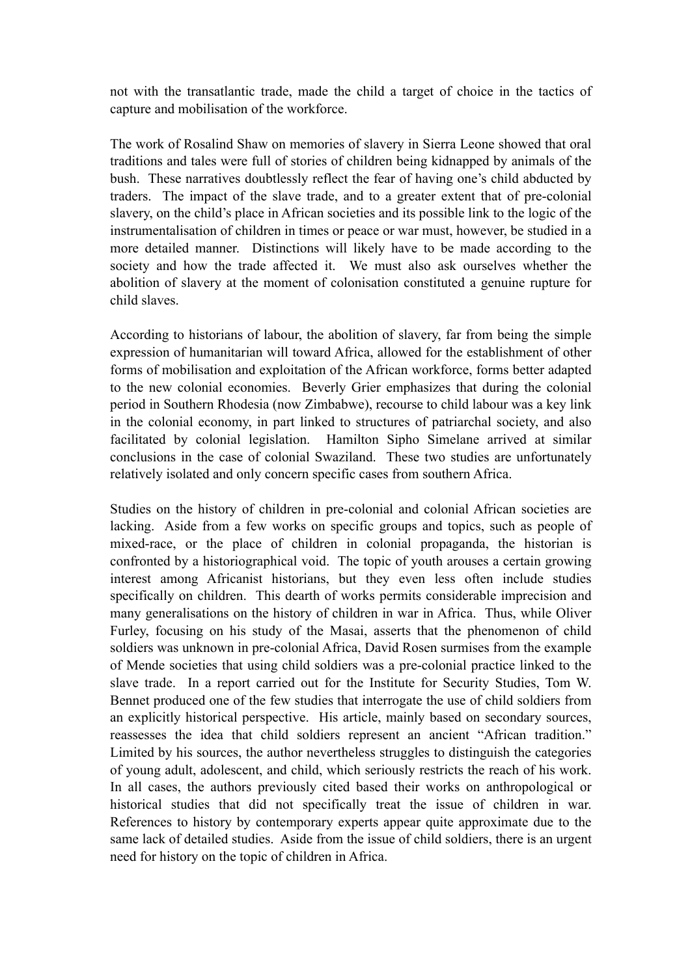not with the transatlantic trade, made the child a target of choice in the tactics of capture and mobilisation of the workforce.

The work of Rosalind Shaw on memories of slavery in Sierra Leone showed that oral traditions and tales were full of stories of children being kidnapped by animals of the bush. These narratives doubtlessly reflect the fear of having one's child abducted by traders. The impact of the slave trade, and to a greater extent that of pre-colonial slavery, on the child's place in African societies and its possible link to the logic of the instrumentalisation of children in times or peace or war must, however, be studied in a more detailed manner. Distinctions will likely have to be made according to the society and how the trade affected it. We must also ask ourselves whether the abolition of slavery at the moment of colonisation constituted a genuine rupture for child slaves.

According to historians of labour, the abolition of slavery, far from being the simple expression of humanitarian will toward Africa, allowed for the establishment of other forms of mobilisation and exploitation of the African workforce, forms better adapted to the new colonial economies. Beverly Grier emphasizes that during the colonial period in Southern Rhodesia (now Zimbabwe), recourse to child labour was a key link in the colonial economy, in part linked to structures of patriarchal society, and also facilitated by colonial legislation. Hamilton Sipho Simelane arrived at similar conclusions in the case of colonial Swaziland. These two studies are unfortunately relatively isolated and only concern specific cases from southern Africa.

Studies on the history of children in pre-colonial and colonial African societies are lacking. Aside from a few works on specific groups and topics, such as people of mixed-race, or the place of children in colonial propaganda, the historian is confronted by a historiographical void. The topic of youth arouses a certain growing interest among Africanist historians, but they even less often include studies specifically on children. This dearth of works permits considerable imprecision and many generalisations on the history of children in war in Africa. Thus, while Oliver Furley, focusing on his study of the Masai, asserts that the phenomenon of child soldiers was unknown in pre-colonial Africa, David Rosen surmises from the example of Mende societies that using child soldiers was a pre-colonial practice linked to the slave trade. In a report carried out for the Institute for Security Studies, Tom W. Bennet produced one of the few studies that interrogate the use of child soldiers from an explicitly historical perspective. His article, mainly based on secondary sources, reassesses the idea that child soldiers represent an ancient "African tradition." Limited by his sources, the author nevertheless struggles to distinguish the categories of young adult, adolescent, and child, which seriously restricts the reach of his work. In all cases, the authors previously cited based their works on anthropological or historical studies that did not specifically treat the issue of children in war. References to history by contemporary experts appear quite approximate due to the same lack of detailed studies. Aside from the issue of child soldiers, there is an urgent need for history on the topic of children in Africa.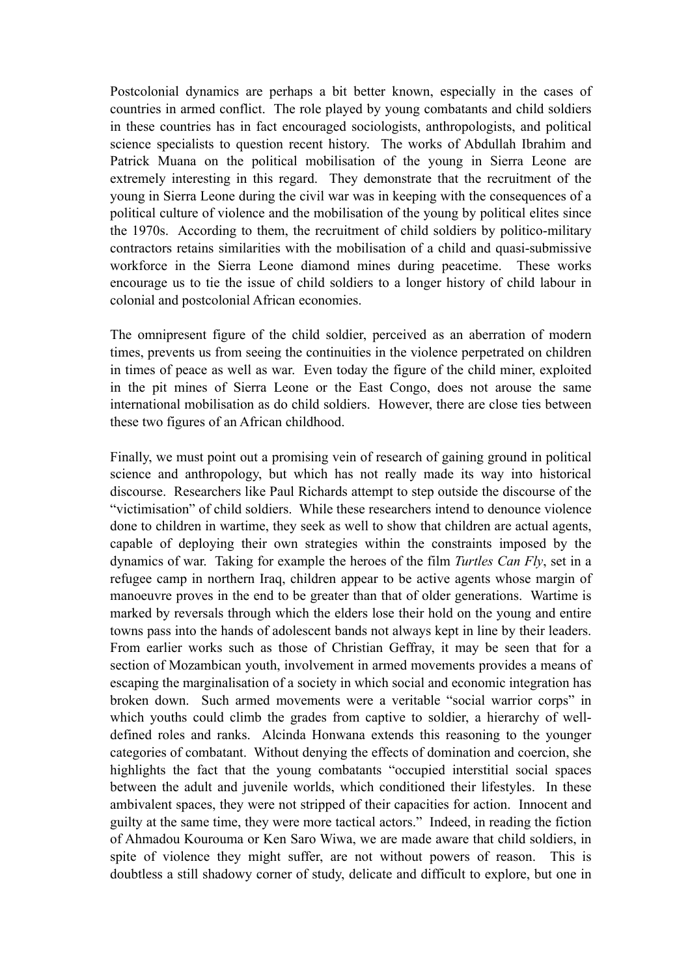Postcolonial dynamics are perhaps a bit better known, especially in the cases of countries in armed conflict. The role played by young combatants and child soldiers in these countries has in fact encouraged sociologists, anthropologists, and political science specialists to question recent history. The works of Abdullah Ibrahim and Patrick Muana on the political mobilisation of the young in Sierra Leone are extremely interesting in this regard. They demonstrate that the recruitment of the young in Sierra Leone during the civil war was in keeping with the consequences of a political culture of violence and the mobilisation of the young by political elites since the 1970s. According to them, the recruitment of child soldiers by politico-military contractors retains similarities with the mobilisation of a child and quasi-submissive workforce in the Sierra Leone diamond mines during peacetime. These works encourage us to tie the issue of child soldiers to a longer history of child labour in colonial and postcolonial African economies.

The omnipresent figure of the child soldier, perceived as an aberration of modern times, prevents us from seeing the continuities in the violence perpetrated on children in times of peace as well as war. Even today the figure of the child miner, exploited in the pit mines of Sierra Leone or the East Congo, does not arouse the same international mobilisation as do child soldiers. However, there are close ties between these two figures of an African childhood.

Finally, we must point out a promising vein of research of gaining ground in political science and anthropology, but which has not really made its way into historical discourse. Researchers like Paul Richards attempt to step outside the discourse of the "victimisation" of child soldiers. While these researchers intend to denounce violence done to children in wartime, they seek as well to show that children are actual agents, capable of deploying their own strategies within the constraints imposed by the dynamics of war. Taking for example the heroes of the film *Turtles Can Fly*, set in a refugee camp in northern Iraq, children appear to be active agents whose margin of manoeuvre proves in the end to be greater than that of older generations. Wartime is marked by reversals through which the elders lose their hold on the young and entire towns pass into the hands of adolescent bands not always kept in line by their leaders. From earlier works such as those of Christian Geffray, it may be seen that for a section of Mozambican youth, involvement in armed movements provides a means of escaping the marginalisation of a society in which social and economic integration has broken down. Such armed movements were a veritable "social warrior corps" in which youths could climb the grades from captive to soldier, a hierarchy of welldefined roles and ranks. Alcinda Honwana extends this reasoning to the younger categories of combatant. Without denying the effects of domination and coercion, she highlights the fact that the young combatants "occupied interstitial social spaces between the adult and juvenile worlds, which conditioned their lifestyles. In these ambivalent spaces, they were not stripped of their capacities for action. Innocent and guilty at the same time, they were more tactical actors." Indeed, in reading the fiction of Ahmadou Kourouma or Ken Saro Wiwa, we are made aware that child soldiers, in spite of violence they might suffer, are not without powers of reason. This is doubtless a still shadowy corner of study, delicate and difficult to explore, but one in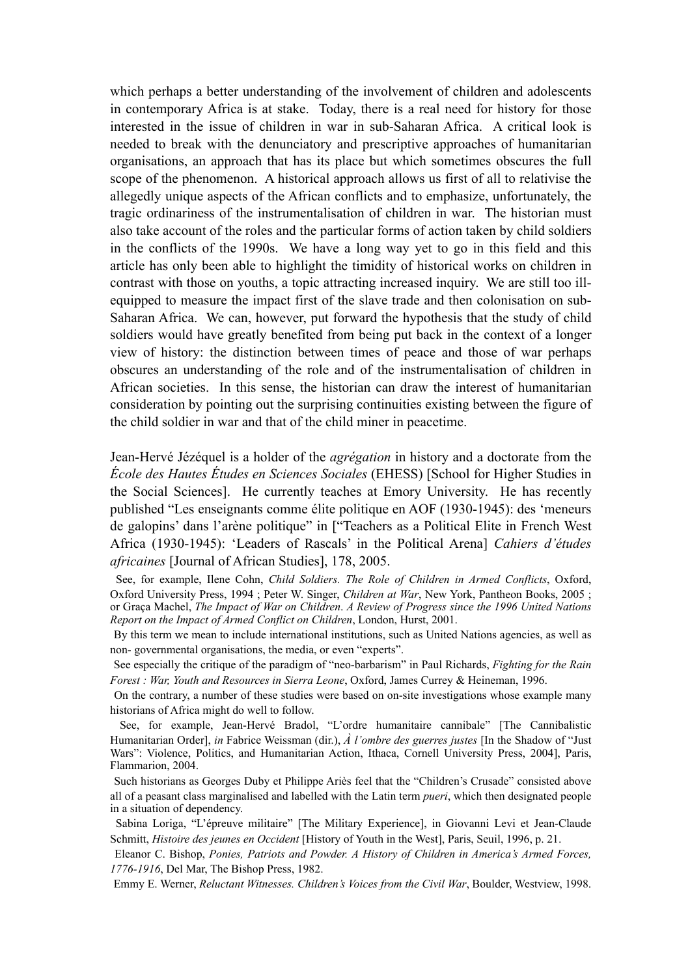which perhaps a better understanding of the involvement of children and adolescents in contemporary Africa is at stake. Today, there is a real need for history for those interested in the issue of children in war in sub-Saharan Africa. A critical look is needed to break with the denunciatory and prescriptive approaches of humanitarian organisations, an approach that has its place but which sometimes obscures the full scope of the phenomenon. A historical approach allows us first of all to relativise the allegedly unique aspects of the African conflicts and to emphasize, unfortunately, the tragic ordinariness of the instrumentalisation of children in war. The historian must also take account of the roles and the particular forms of action taken by child soldiers in the conflicts of the 1990s. We have a long way yet to go in this field and this article has only been able to highlight the timidity of historical works on children in contrast with those on youths, a topic attracting increased inquiry. We are still too illequipped to measure the impact first of the slave trade and then colonisation on sub-Saharan Africa. We can, however, put forward the hypothesis that the study of child soldiers would have greatly benefited from being put back in the context of a longer view of history: the distinction between times of peace and those of war perhaps obscures an understanding of the role and of the instrumentalisation of children in African societies. In this sense, the historian can draw the interest of humanitarian consideration by pointing out the surprising continuities existing between the figure of the child soldier in war and that of the child miner in peacetime.

Jean-Hervé Jézéquel is a holder of the *agrégation* in history and a doctorate from the *École des Hautes Études en Sciences Sociales* (EHESS) [School for Higher Studies in the Social Sciences]. He currently teaches at Emory University. He has recently published "Les enseignants comme élite politique en AOF (1930-1945): des 'meneurs de galopins' dans l'arène politique" in ["Teachers as a Political Elite in French West Africa (1930-1945): 'Leaders of Rascals' in the Political Arena] *Cahiers d'études africaines* [Journal of African Studies], 178, 2005.

See, for example, Ilene Cohn, *Child Soldiers. The Role of Children in Armed Conflicts*, Oxford, Oxford University Press, 1994 ; Peter W. Singer, *Children at War*, New York, Pantheon Books, 2005 ; or Graça Machel, *The Impact of War on Children*. *A Review of Progress since the 1996 United Nations Report on the Impact of Armed Conflict on Children*, London, Hurst, 2001.

By this term we mean to include international institutions, such as United Nations agencies, as well as non- governmental organisations, the media, or even "experts".

See especially the critique of the paradigm of "neo-barbarism" in Paul Richards, *Fighting for the Rain Forest : War, Youth and Resources in Sierra Leone*, Oxford, James Currey & Heineman, 1996.

On the contrary, a number of these studies were based on on-site investigations whose example many historians of Africa might do well to follow.

See, for example, Jean-Hervé Bradol, "L'ordre humanitaire cannibale" [The Cannibalistic Humanitarian Order], *in* Fabrice Weissman (dir.), *À l'ombre des guerres justes* [In the Shadow of "Just Wars": Violence, Politics, and Humanitarian Action, Ithaca, Cornell University Press, 2004], Paris, Flammarion, 2004.

Such historians as Georges Duby et Philippe Ariès feel that the "Children's Crusade" consisted above all of a peasant class marginalised and labelled with the Latin term *pueri*, which then designated people in a situation of dependency.

Sabina Loriga, "L'épreuve militaire" [The Military Experience], in Giovanni Levi et Jean-Claude Schmitt, *Histoire des jeunes en Occident* [History of Youth in the West], Paris, Seuil, 1996, p. 21.

Eleanor C. Bishop, *Ponies, Patriots and Powder. A History of Children in America's Armed Forces, 1776-1916*, Del Mar, The Bishop Press, 1982.

Emmy E. Werner, *Reluctant Witnesses. Children's Voices from the Civil War*, Boulder, Westview, 1998.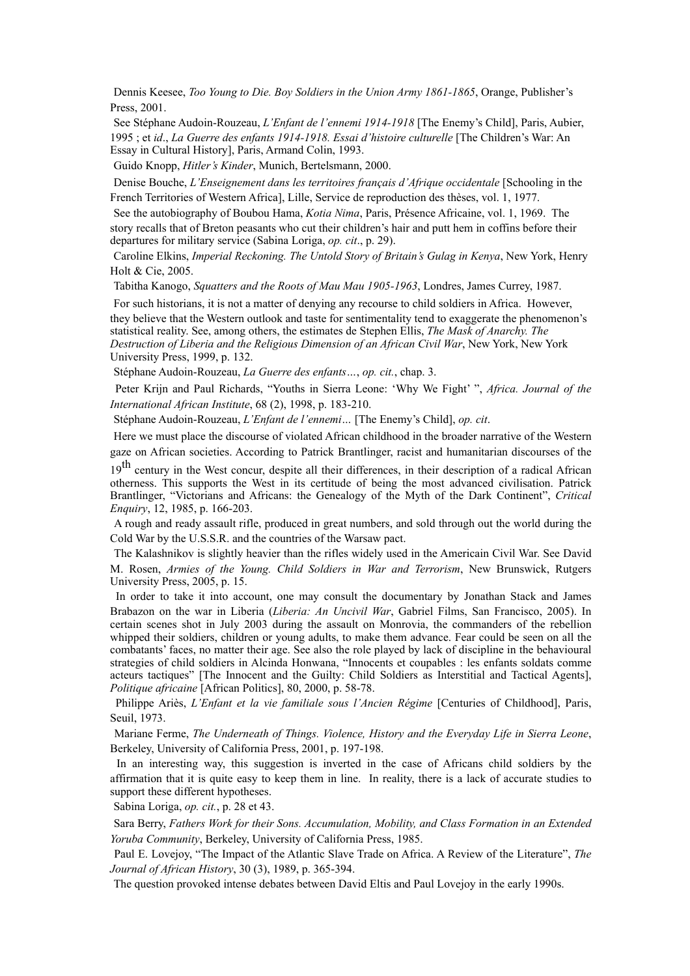Dennis Keesee, *Too Young to Die. Boy Soldiers in the Union Army 1861-1865*, Orange, Publisher's Press, 2001.

See Stéphane Audoin-Rouzeau, *L'Enfant de l'ennemi 1914-1918* [The Enemy's Child], Paris, Aubier, 1995 ; et *id*., *La Guerre des enfants 1914-1918. Essai d'histoire culturelle* [The Children's War: An Essay in Cultural History], Paris, Armand Colin, 1993.

Guido Knopp, *Hitler's Kinder*, Munich, Bertelsmann, 2000.

Denise Bouche, *L'Enseignement dans les territoires français d'Afrique occidentale* [Schooling in the French Territories of Western Africa], Lille, Service de reproduction des thèses, vol. 1, 1977.

See the autobiography of Boubou Hama, *Kotia Nima*, Paris, Présence Africaine, vol. 1, 1969. The story recalls that of Breton peasants who cut their children's hair and putt hem in coffins before their departures for military service (Sabina Loriga, *op. cit*., p. 29).

Caroline Elkins, *Imperial Reckoning. The Untold Story of Britain's Gulag in Kenya*, New York, Henry Holt & Cie, 2005.

Tabitha Kanogo, *Squatters and the Roots of Mau Mau 1905-1963*, Londres, James Currey, 1987.

For such historians, it is not a matter of denying any recourse to child soldiers in Africa. However, they believe that the Western outlook and taste for sentimentality tend to exaggerate the phenomenon's statistical reality. See, among others, the estimates de Stephen Ellis, *The Mask of Anarchy. The Destruction of Liberia and the Religious Dimension of an African Civil War*, New York, New York University Press, 1999, p. 132.

Stéphane Audoin-Rouzeau, *La Guerre des enfants…*, *op. cit.*, chap. 3.

Peter Krijn and Paul Richards, "Youths in Sierra Leone: 'Why We Fight' ", *Africa. Journal of the International African Institute*, 68 (2), 1998, p. 183-210.

Stéphane Audoin-Rouzeau, *L'Enfant de l'ennemi…* [The Enemy's Child], *op. cit*.

Here we must place the discourse of violated African childhood in the broader narrative of the Western gaze on African societies. According to Patrick Brantlinger, racist and humanitarian discourses of the

19<sup>th</sup> century in the West concur, despite all their differences, in their description of a radical African otherness. This supports the West in its certitude of being the most advanced civilisation. Patrick Brantlinger, "Victorians and Africans: the Genealogy of the Myth of the Dark Continent", *Critical Enquiry*, 12, 1985, p. 166-203.

A rough and ready assault rifle, produced in great numbers, and sold through out the world during the Cold War by the U.S.S.R. and the countries of the Warsaw pact.

The Kalashnikov is slightly heavier than the rifles widely used in the Americain Civil War. See David M. Rosen, *Armies of the Young. Child Soldiers in War and Terrorism*, New Brunswick, Rutgers University Press, 2005, p. 15.

In order to take it into account, one may consult the documentary by Jonathan Stack and James Brabazon on the war in Liberia (*Liberia: An Uncivil War*, Gabriel Films, San Francisco, 2005). In certain scenes shot in July 2003 during the assault on Monrovia, the commanders of the rebellion whipped their soldiers, children or young adults, to make them advance. Fear could be seen on all the combatants' faces, no matter their age. See also the role played by lack of discipline in the behavioural strategies of child soldiers in Alcinda Honwana, "Innocents et coupables : les enfants soldats comme acteurs tactiques" [The Innocent and the Guilty: Child Soldiers as Interstitial and Tactical Agents], *Politique africaine* [African Politics], 80, 2000, p. 58-78.

Philippe Ariès, *L'Enfant et la vie familiale sous l'Ancien Régime* [Centuries of Childhood], Paris, Seuil, 1973.

Mariane Ferme, *The Underneath of Things. Violence, History and the Everyday Life in Sierra Leone*, Berkeley, University of California Press, 2001, p. 197-198.

In an interesting way, this suggestion is inverted in the case of Africans child soldiers by the affirmation that it is quite easy to keep them in line. In reality, there is a lack of accurate studies to support these different hypotheses.

Sabina Loriga, *op. cit.*, p. 28 et 43.

Sara Berry, *Fathers Work for their Sons. Accumulation, Mobility, and Class Formation in an Extended Yoruba Community*, Berkeley, University of California Press, 1985.

Paul E. Lovejoy, "The Impact of the Atlantic Slave Trade on Africa. A Review of the Literature", *The Journal of African History*, 30 (3), 1989, p. 365-394.

The question provoked intense debates between David Eltis and Paul Lovejoy in the early 1990s.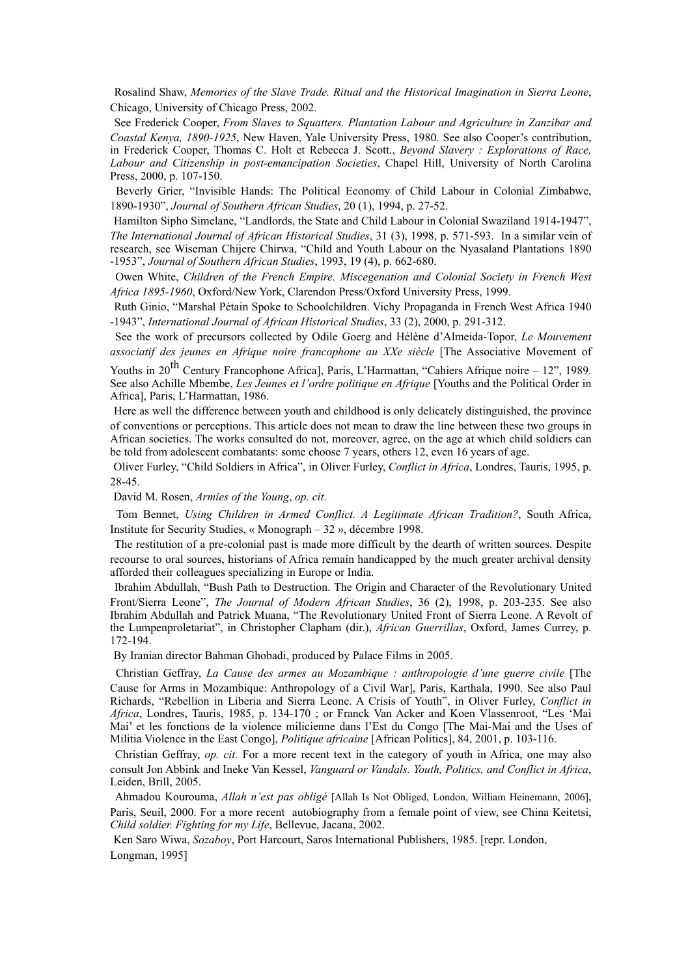Rosalind Shaw, *Memories of the Slave Trade. Ritual and the Historical Imagination in Sierra Leone*, Chicago, University of Chicago Press, 2002.

See Frederick Cooper, *From Slaves to Squatters. Plantation Labour and Agriculture in Zanzibar and Coastal Kenya, 1890-1925*, New Haven, Yale University Press, 1980. See also Cooper's contribution, in Frederick Cooper, Thomas C. Holt et Rebecca J. Scott., *Beyond Slavery : Explorations of Race, Labour and Citizenship in post-emancipation Societies*, Chapel Hill, University of North Carolina Press, 2000, p. 107-150.

Beverly Grier, "Invisible Hands: The Political Economy of Child Labour in Colonial Zimbabwe, 1890-1930", *Journal of Southern African Studies*, 20 (1), 1994, p. 27-52.

Hamilton Sipho Simelane, "Landlords, the State and Child Labour in Colonial Swaziland 1914-1947", *The International Journal of African Historical Studies*, 31 (3), 1998, p. 571-593. In a similar vein of research, see Wiseman Chijere Chirwa, "Child and Youth Labour on the Nyasaland Plantations 1890 -1953", *Journal of Southern African Studies*, 1993, 19 (4), p. 662-680.

Owen White, *Children of the French Empire. Miscegenation and Colonial Society in French West Africa 1895-1960*, Oxford/New York, Clarendon Press/Oxford University Press, 1999.

Ruth Ginio, "Marshal Pétain Spoke to Schoolchildren. Vichy Propaganda in French West Africa 1940 -1943", *International Journal of African Historical Studies*, 33 (2), 2000, p. 291-312.

See the work of precursors collected by Odile Goerg and Hélène d'Almeida-Topor, *Le Mouvement associatif des jeunes en Afrique noire francophone au XXe siècle* [The Associative Movement of

Youths in 20<sup>th</sup> Century Francophone Africa], Paris, L'Harmattan, "Cahiers Afrique noire – 12", 1989. See also Achille Mbembe, *Les Jeunes et l'ordre politique en Afrique* [Youths and the Political Order in Africa], Paris, L'Harmattan, 1986.

Here as well the difference between youth and childhood is only delicately distinguished, the province of conventions or perceptions. This article does not mean to draw the line between these two groups in African societies. The works consulted do not, moreover, agree, on the age at which child soldiers can be told from adolescent combatants: some choose 7 years, others 12, even 16 years of age.

Oliver Furley, "Child Soldiers in Africa", in Oliver Furley, *Conflict in Africa*, Londres, Tauris, 1995, p. 28-45.

David M. Rosen, *Armies of the Young*, *op. cit*.

Tom Bennet, *Using Children in Armed Conflict. A Legitimate African Tradition?*, South Africa, Institute for Security Studies, « Monograph – 32 », décembre 1998.

The restitution of a pre-colonial past is made more difficult by the dearth of written sources. Despite recourse to oral sources, historians of Africa remain handicapped by the much greater archival density afforded their colleagues specializing in Europe or India.

Ibrahim Abdullah, "Bush Path to Destruction. The Origin and Character of the Revolutionary United Front/Sierra Leone", *The Journal of Modern African Studies*, 36 (2), 1998, p. 203-235. See also Ibrahim Abdullah and Patrick Muana, "The Revolutionary United Front of Sierra Leone. A Revolt of the Lumpenproletariat", in Christopher Clapham (dir.), *African Guerrillas*, Oxford, James Currey, p. 172-194.

By Iranian director Bahman Ghobadi, produced by Palace Films in 2005.

Christian Geffray, *La Cause des armes au Mozambique : anthropologie d'une guerre civile* [The Cause for Arms in Mozambique: Anthropology of a Civil War], Paris, Karthala, 1990. See also Paul Richards, "Rebellion in Liberia and Sierra Leone. A Crisis of Youth", in Oliver Furley, *Conflict in Africa*, Londres, Tauris, 1985, p. 134-170 ; or Franck Van Acker and Koen Vlassenroot, "Les 'Mai Mai' et les fonctions de la violence milicienne dans l'Est du Congo [The Mai-Mai and the Uses of Militia Violence in the East Congo], *Politique africaine* [African Politics], 84, 2001, p. 103-116.

Christian Geffray, *op. cit.* For a more recent text in the category of youth in Africa, one may also consult Jon Abbink and Ineke Van Kessel, *Vanguard or Vandals. Youth, Politics, and Conflict in Africa*, Leiden, Brill, 2005.

Ahmadou Kourouma, *Allah n'est pas obligé* [Allah Is Not Obliged, London, William Heinemann, 2006], Paris, Seuil, 2000. For a more recent autobiography from a female point of view, see China Keitetsi, *Child soldier. Fighting for my Life*, Bellevue, Jacana, 2002.

Ken Saro Wiwa, *Sozaboy*, Port Harcourt, Saros International Publishers, 1985. [repr. London, Longman, 1995]